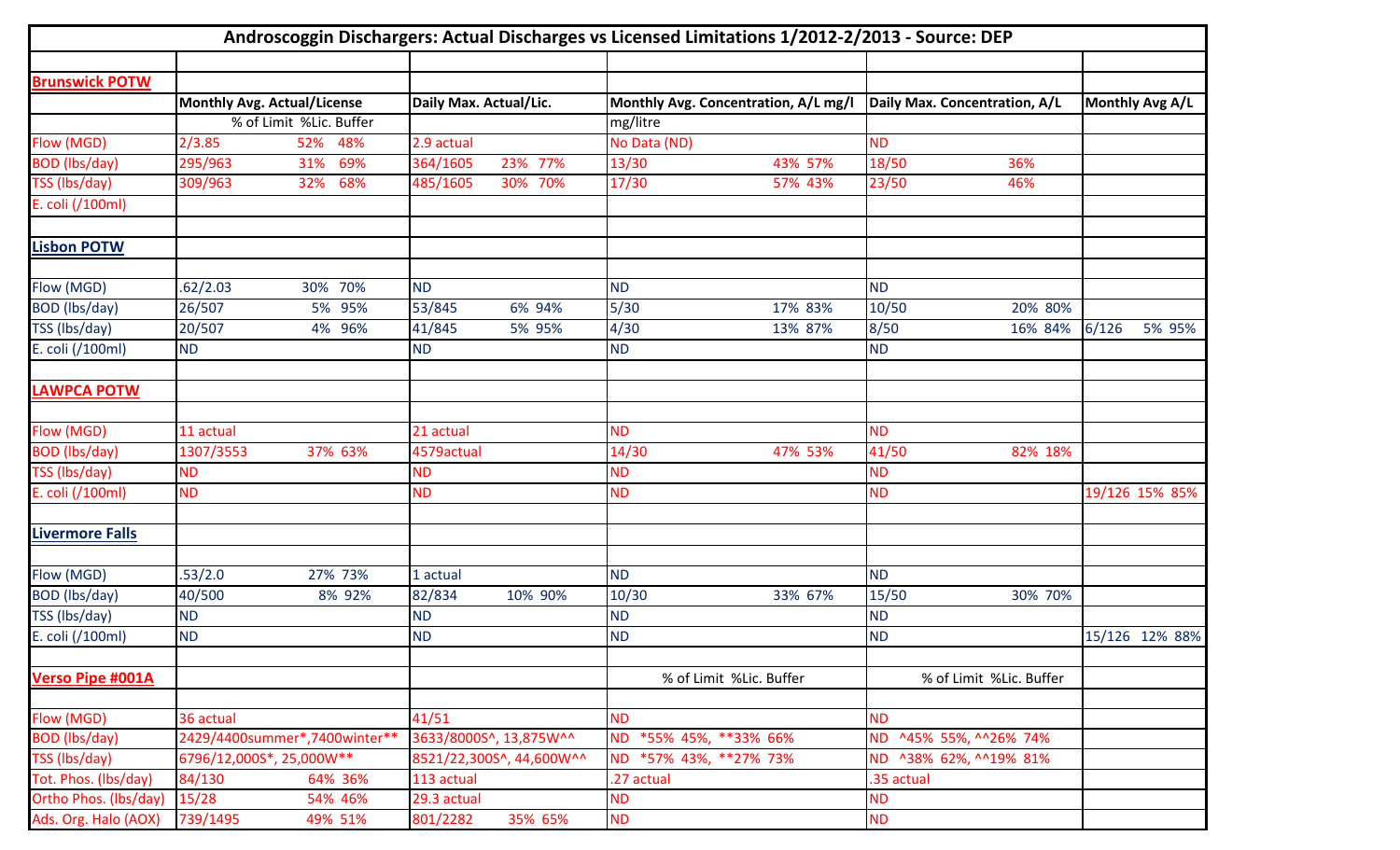| Androscoggin Dischargers: Actual Discharges vs Licensed Limitations 1/2012-2/2013 - Source: DEP |                                                               |            |                          |         |                                                  |                         |                               |                         |       |                 |
|-------------------------------------------------------------------------------------------------|---------------------------------------------------------------|------------|--------------------------|---------|--------------------------------------------------|-------------------------|-------------------------------|-------------------------|-------|-----------------|
| <b>Brunswick POTW</b>                                                                           |                                                               |            |                          |         |                                                  |                         |                               |                         |       |                 |
|                                                                                                 |                                                               |            |                          |         |                                                  |                         |                               |                         |       | Monthly Avg A/L |
|                                                                                                 | <b>Monthly Avg. Actual/License</b><br>% of Limit %Lic. Buffer |            | Daily Max. Actual/Lic.   |         | Monthly Avg. Concentration, A/L mg/l<br>mg/litre |                         | Daily Max. Concentration, A/L |                         |       |                 |
| Flow (MGD)                                                                                      | 2/3.85                                                        | 52% 48%    | 2.9 actual               |         | No Data (ND)                                     |                         | <b>ND</b>                     |                         |       |                 |
| <b>BOD</b> (lbs/day)                                                                            | 295/963                                                       | 69%<br>31% | 364/1605                 | 23% 77% | 13/30                                            | 43% 57%                 | 18/50                         | 36%                     |       |                 |
| TSS (lbs/day)                                                                                   | 309/963                                                       | 32% 68%    | 485/1605                 | 30% 70% | 17/30                                            | 57% 43%                 | 23/50                         | 46%                     |       |                 |
| E. coli (/100ml)                                                                                |                                                               |            |                          |         |                                                  |                         |                               |                         |       |                 |
| <b>Lisbon POTW</b>                                                                              |                                                               |            |                          |         |                                                  |                         |                               |                         |       |                 |
|                                                                                                 |                                                               |            |                          |         |                                                  |                         |                               |                         |       |                 |
| Flow (MGD)                                                                                      | .62/2.03                                                      | 30% 70%    | <b>ND</b>                |         | <b>ND</b>                                        |                         | <b>ND</b>                     |                         |       |                 |
| BOD (lbs/day)                                                                                   | 26/507                                                        | 5% 95%     | 53/845                   | 6% 94%  | 5/30                                             | 17% 83%                 | 10/50                         | 20% 80%                 |       |                 |
| TSS (lbs/day)                                                                                   | 20/507                                                        | 4% 96%     | 41/845                   | 5% 95%  | 4/30                                             | 13% 87%                 | 8/50                          | 16% 84%                 | 6/126 | 5% 95%          |
| E. coli (/100ml)                                                                                | <b>ND</b>                                                     |            | <b>ND</b>                |         | <b>ND</b>                                        |                         | <b>ND</b>                     |                         |       |                 |
| <b>LAWPCA POTW</b>                                                                              |                                                               |            |                          |         |                                                  |                         |                               |                         |       |                 |
| <b>Flow (MGD)</b>                                                                               | 11 actual                                                     |            | 21 actual                |         | <b>ND</b>                                        |                         | <b>ND</b>                     |                         |       |                 |
| <b>BOD</b> (lbs/day)                                                                            | 1307/3553                                                     | 37% 63%    | 4579actual               |         | 14/30                                            | 47% 53%                 | 41/50                         | 82% 18%                 |       |                 |
| TSS (lbs/day)                                                                                   | <b>ND</b>                                                     |            | <b>ND</b>                |         | <b>ND</b>                                        |                         | <b>ND</b>                     |                         |       |                 |
| E. coli (/100ml)                                                                                | <b>ND</b>                                                     |            | <b>ND</b>                |         | <b>ND</b>                                        |                         | <b>ND</b>                     |                         |       | 19/126 15% 85%  |
| <b>Livermore Falls</b>                                                                          |                                                               |            |                          |         |                                                  |                         |                               |                         |       |                 |
| Flow (MGD)                                                                                      | .53/2.0                                                       | 27% 73%    | 1 actual                 |         | <b>ND</b>                                        |                         | <b>ND</b>                     |                         |       |                 |
| <b>BOD</b> (lbs/day)                                                                            | 40/500                                                        | 8% 92%     | 82/834                   | 10% 90% | 10/30                                            | 33% 67%                 | 15/50                         | 30% 70%                 |       |                 |
| TSS (lbs/day)                                                                                   | <b>ND</b>                                                     |            | <b>ND</b>                |         | <b>ND</b>                                        |                         | <b>ND</b>                     |                         |       |                 |
| E. coli (/100ml)                                                                                | <b>ND</b>                                                     |            | <b>ND</b>                |         | <b>ND</b>                                        |                         | <b>ND</b>                     |                         |       | 15/126 12% 88%  |
| <b>Verso Pipe #001A</b>                                                                         |                                                               |            |                          |         |                                                  | % of Limit %Lic. Buffer |                               | % of Limit %Lic. Buffer |       |                 |
| Flow (MGD)                                                                                      | 36 actual                                                     |            | 41/51                    |         | <b>ND</b>                                        |                         | <b>ND</b>                     |                         |       |                 |
| <b>BOD</b> (lbs/day)                                                                            | 2429/4400summer*,7400winter**                                 |            | 3633/8000S^, 13,875W^^   |         | *55% 45%, **33% 66%<br><b>ND</b>                 |                         | ND ^45% 55%, ^^26% 74%        |                         |       |                 |
| TSS (lbs/day)                                                                                   | 6796/12,000S*, 25,000W**                                      |            | 8521/22,300S^, 44,600W^^ |         | *57% 43%, **27% 73%<br><b>ND</b>                 |                         | ND ^38% 62%, ^^19% 81%        |                         |       |                 |
| Tot. Phos. (lbs/day)                                                                            | 84/130                                                        | 64% 36%    | 113 actual               |         | .27 actual                                       |                         | .35 actual                    |                         |       |                 |
| Ortho Phos. (lbs/day)                                                                           | 15/28                                                         | 54% 46%    | 29.3 actual              |         | <b>ND</b>                                        |                         | <b>ND</b>                     |                         |       |                 |
| Ads. Org. Halo (AOX)                                                                            | 739/1495                                                      | 49% 51%    | 801/2282                 | 35% 65% | <b>ND</b>                                        |                         | <b>ND</b>                     |                         |       |                 |